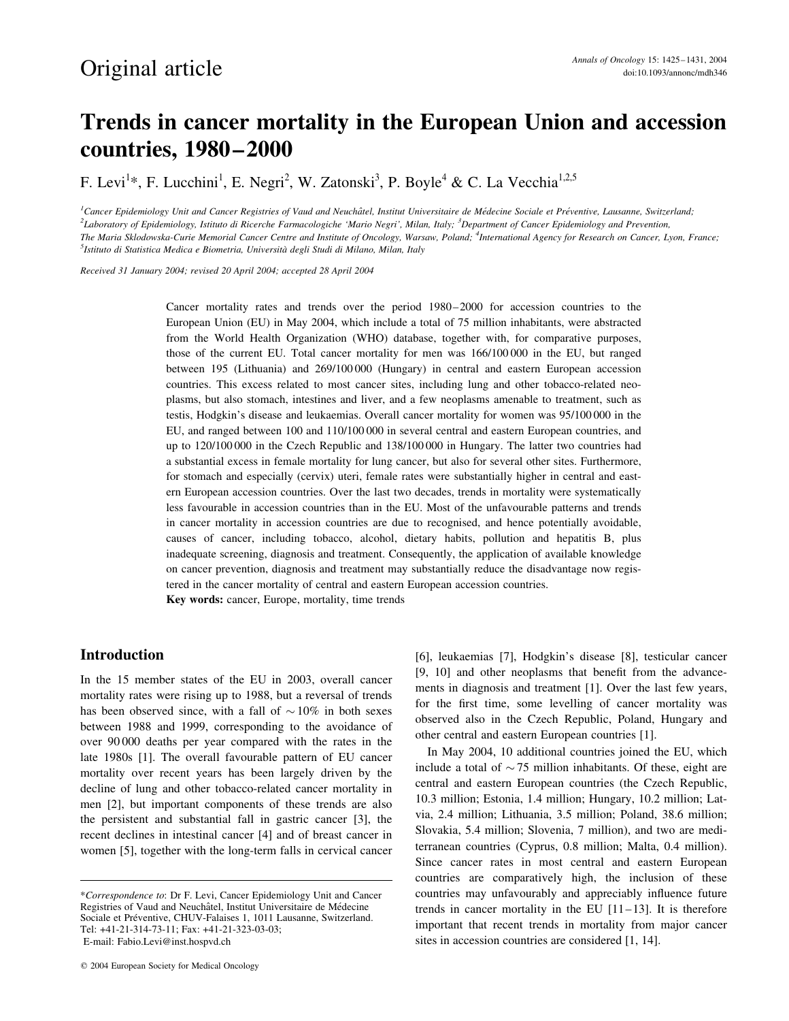# Trends in cancer mortality in the European Union and accession countries, 1980–2000

F. Levi<sup>1</sup>\*, F. Lucchini<sup>1</sup>, E. Negri<sup>2</sup>, W. Zatonski<sup>3</sup>, P. Boyle<sup>4</sup> & C. La Vecchia<sup>1,2,5</sup>

<sup>1</sup>Cancer Epidemiology Unit and Cancer Registries of Vaud and Neuchâtel, Institut Universitaire de Médecine Sociale et Préventive, Lausanne, Switzerland; <sup>2</sup>Laboratory of Epidemiology, Istituto di Ricerche Farmacologiche 'Mario Negri', Milan, Italy; <sup>3</sup>Department of Cancer Epidemiology and Prevention, The Maria Sklodowska-Curie Memorial Cancer Centre and Institute of Oncology, Warsaw, Poland; <sup>4</sup>International Agency for Research on Cancer, Lyon, France; <sup>5</sup>Istituto di Statistica Medica e Biometria, Università degli Studi di Milano, Milan, Italy

Received 31 January 2004; revised 20 April 2004; accepted 28 April 2004

Cancer mortality rates and trends over the period 1980–2000 for accession countries to the European Union (EU) in May 2004, which include a total of 75 million inhabitants, were abstracted from the World Health Organization (WHO) database, together with, for comparative purposes, those of the current EU. Total cancer mortality for men was 166/100 000 in the EU, but ranged between 195 (Lithuania) and 269/100 000 (Hungary) in central and eastern European accession countries. This excess related to most cancer sites, including lung and other tobacco-related neoplasms, but also stomach, intestines and liver, and a few neoplasms amenable to treatment, such as testis, Hodgkin's disease and leukaemias. Overall cancer mortality for women was 95/100 000 in the EU, and ranged between 100 and 110/100 000 in several central and eastern European countries, and up to 120/100 000 in the Czech Republic and 138/100 000 in Hungary. The latter two countries had a substantial excess in female mortality for lung cancer, but also for several other sites. Furthermore, for stomach and especially (cervix) uteri, female rates were substantially higher in central and eastern European accession countries. Over the last two decades, trends in mortality were systematically less favourable in accession countries than in the EU. Most of the unfavourable patterns and trends in cancer mortality in accession countries are due to recognised, and hence potentially avoidable, causes of cancer, including tobacco, alcohol, dietary habits, pollution and hepatitis B, plus inadequate screening, diagnosis and treatment. Consequently, the application of available knowledge on cancer prevention, diagnosis and treatment may substantially reduce the disadvantage now registered in the cancer mortality of central and eastern European accession countries.

Key words: cancer, Europe, mortality, time trends

## Introduction

In the 15 member states of the EU in 2003, overall cancer mortality rates were rising up to 1988, but a reversal of trends has been observed since, with a fall of  $\sim 10\%$  in both sexes between 1988 and 1999, corresponding to the avoidance of over 90 000 deaths per year compared with the rates in the late 1980s [1]. The overall favourable pattern of EU cancer mortality over recent years has been largely driven by the decline of lung and other tobacco-related cancer mortality in men [2], but important components of these trends are also the persistent and substantial fall in gastric cancer [3], the recent declines in intestinal cancer [4] and of breast cancer in women [5], together with the long-term falls in cervical cancer

[6], leukaemias [7], Hodgkin's disease [8], testicular cancer [9, 10] and other neoplasms that benefit from the advancements in diagnosis and treatment [1]. Over the last few years, for the first time, some levelling of cancer mortality was observed also in the Czech Republic, Poland, Hungary and other central and eastern European countries [1].

In May 2004, 10 additional countries joined the EU, which include a total of  $\sim$  75 million inhabitants. Of these, eight are central and eastern European countries (the Czech Republic, 10.3 million; Estonia, 1.4 million; Hungary, 10.2 million; Latvia, 2.4 million; Lithuania, 3.5 million; Poland, 38.6 million; Slovakia, 5.4 million; Slovenia, 7 million), and two are mediterranean countries (Cyprus, 0.8 million; Malta, 0.4 million). Since cancer rates in most central and eastern European countries are comparatively high, the inclusion of these countries may unfavourably and appreciably influence future trends in cancer mortality in the EU [11–13]. It is therefore important that recent trends in mortality from major cancer sites in accession countries are considered [1, 14].

<sup>\*</sup>Correspondence to: Dr F. Levi, Cancer Epidemiology Unit and Cancer Registries of Vaud and Neuchâtel, Institut Universitaire de Médecine Sociale et Préventive, CHUV-Falaises 1, 1011 Lausanne, Switzerland. Tel: +41-21-314-73-11; Fax: +41-21-323-03-03; E-mail: Fabio.Levi@inst.hospvd.ch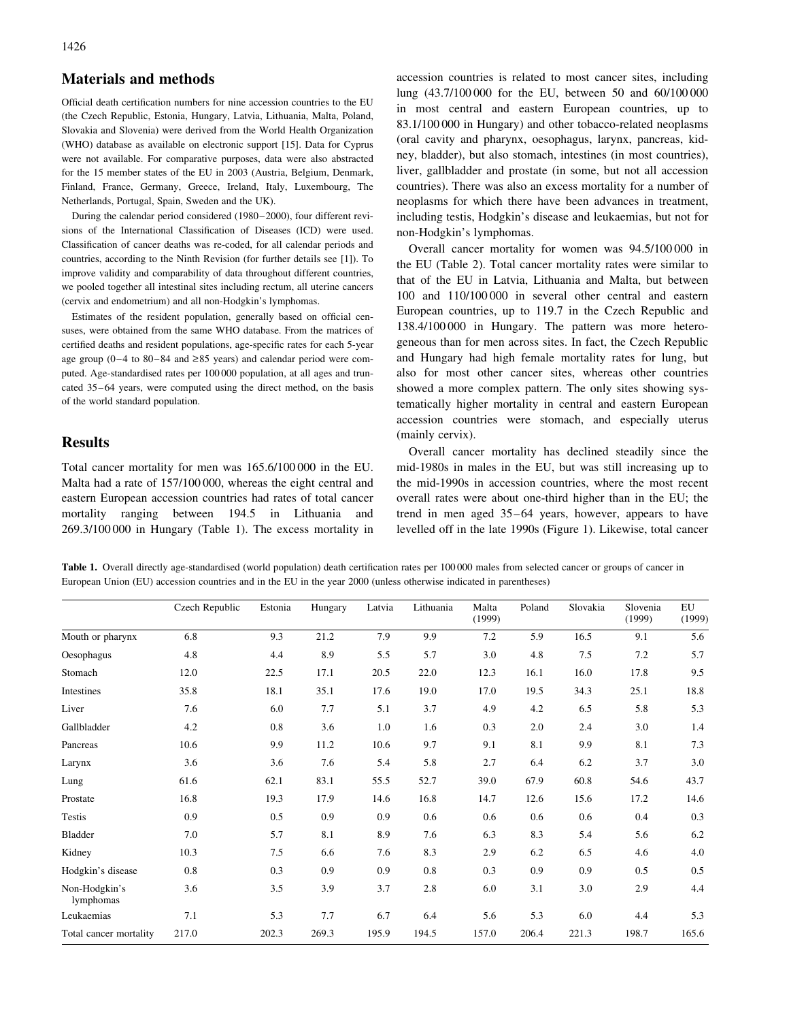#### Materials and methods

Official death certification numbers for nine accession countries to the EU (the Czech Republic, Estonia, Hungary, Latvia, Lithuania, Malta, Poland, Slovakia and Slovenia) were derived from the World Health Organization (WHO) database as available on electronic support [15]. Data for Cyprus were not available. For comparative purposes, data were also abstracted for the 15 member states of the EU in 2003 (Austria, Belgium, Denmark, Finland, France, Germany, Greece, Ireland, Italy, Luxembourg, The Netherlands, Portugal, Spain, Sweden and the UK).

During the calendar period considered (1980–2000), four different revisions of the International Classification of Diseases (ICD) were used. Classification of cancer deaths was re-coded, for all calendar periods and countries, according to the Ninth Revision (for further details see [1]). To improve validity and comparability of data throughout different countries, we pooled together all intestinal sites including rectum, all uterine cancers (cervix and endometrium) and all non-Hodgkin's lymphomas.

Estimates of the resident population, generally based on official censuses, were obtained from the same WHO database. From the matrices of certified deaths and resident populations, age-specific rates for each 5-year age group (0–4 to 80–84 and  $\geq$ 85 years) and calendar period were computed. Age-standardised rates per 100 000 population, at all ages and truncated 35–64 years, were computed using the direct method, on the basis of the world standard population.

### Results

Total cancer mortality for men was 165.6/100 000 in the EU. Malta had a rate of 157/100 000, whereas the eight central and eastern European accession countries had rates of total cancer mortality ranging between 194.5 in Lithuania and 269.3/100 000 in Hungary (Table 1). The excess mortality in accession countries is related to most cancer sites, including lung (43.7/100 000 for the EU, between 50 and 60/100 000 in most central and eastern European countries, up to 83.1/100 000 in Hungary) and other tobacco-related neoplasms (oral cavity and pharynx, oesophagus, larynx, pancreas, kidney, bladder), but also stomach, intestines (in most countries), liver, gallbladder and prostate (in some, but not all accession countries). There was also an excess mortality for a number of neoplasms for which there have been advances in treatment, including testis, Hodgkin's disease and leukaemias, but not for non-Hodgkin's lymphomas.

Overall cancer mortality for women was 94.5/100 000 in the EU (Table 2). Total cancer mortality rates were similar to that of the EU in Latvia, Lithuania and Malta, but between 100 and 110/100 000 in several other central and eastern European countries, up to 119.7 in the Czech Republic and 138.4/100 000 in Hungary. The pattern was more heterogeneous than for men across sites. In fact, the Czech Republic and Hungary had high female mortality rates for lung, but also for most other cancer sites, whereas other countries showed a more complex pattern. The only sites showing systematically higher mortality in central and eastern European accession countries were stomach, and especially uterus (mainly cervix).

Overall cancer mortality has declined steadily since the mid-1980s in males in the EU, but was still increasing up to the mid-1990s in accession countries, where the most recent overall rates were about one-third higher than in the EU; the trend in men aged 35–64 years, however, appears to have levelled off in the late 1990s (Figure 1). Likewise, total cancer

Table 1. Overall directly age-standardised (world population) death certification rates per 100 000 males from selected cancer or groups of cancer in European Union (EU) accession countries and in the EU in the year 2000 (unless otherwise indicated in parentheses)

|                            | Czech Republic | Estonia | Hungary | Latvia | Lithuania | Malta<br>(1999) | Poland | Slovakia | Slovenia<br>(1999) | EU<br>(1999) |
|----------------------------|----------------|---------|---------|--------|-----------|-----------------|--------|----------|--------------------|--------------|
| Mouth or pharynx           | 6.8            | 9.3     | 21.2    | 7.9    | 9.9       | 7.2             | 5.9    | 16.5     | 9.1                | 5.6          |
| Oesophagus                 | 4.8            | 4.4     | 8.9     | 5.5    | 5.7       | 3.0             | 4.8    | 7.5      | 7.2                | 5.7          |
| Stomach                    | 12.0           | 22.5    | 17.1    | 20.5   | 22.0      | 12.3            | 16.1   | 16.0     | 17.8               | 9.5          |
| Intestines                 | 35.8           | 18.1    | 35.1    | 17.6   | 19.0      | 17.0            | 19.5   | 34.3     | 25.1               | 18.8         |
| Liver                      | 7.6            | 6.0     | 7.7     | 5.1    | 3.7       | 4.9             | 4.2    | 6.5      | 5.8                | 5.3          |
| Gallbladder                | 4.2            | 0.8     | 3.6     | 1.0    | 1.6       | 0.3             | 2.0    | 2.4      | 3.0                | 1.4          |
| Pancreas                   | 10.6           | 9.9     | 11.2    | 10.6   | 9.7       | 9.1             | 8.1    | 9.9      | 8.1                | 7.3          |
| Larynx                     | 3.6            | 3.6     | 7.6     | 5.4    | 5.8       | 2.7             | 6.4    | 6.2      | 3.7                | 3.0          |
| Lung                       | 61.6           | 62.1    | 83.1    | 55.5   | 52.7      | 39.0            | 67.9   | 60.8     | 54.6               | 43.7         |
| Prostate                   | 16.8           | 19.3    | 17.9    | 14.6   | 16.8      | 14.7            | 12.6   | 15.6     | 17.2               | 14.6         |
| Testis                     | 0.9            | 0.5     | 0.9     | 0.9    | 0.6       | 0.6             | 0.6    | 0.6      | 0.4                | 0.3          |
| Bladder                    | 7.0            | 5.7     | 8.1     | 8.9    | 7.6       | 6.3             | 8.3    | 5.4      | 5.6                | 6.2          |
| Kidney                     | 10.3           | 7.5     | 6.6     | 7.6    | 8.3       | 2.9             | 6.2    | 6.5      | 4.6                | 4.0          |
| Hodgkin's disease          | 0.8            | 0.3     | 0.9     | 0.9    | 0.8       | 0.3             | 0.9    | 0.9      | 0.5                | 0.5          |
| Non-Hodgkin's<br>lymphomas | 3.6            | 3.5     | 3.9     | 3.7    | 2.8       | 6.0             | 3.1    | 3.0      | 2.9                | 4.4          |
| Leukaemias                 | 7.1            | 5.3     | 7.7     | 6.7    | 6.4       | 5.6             | 5.3    | 6.0      | 4.4                | 5.3          |
| Total cancer mortality     | 217.0          | 202.3   | 269.3   | 195.9  | 194.5     | 157.0           | 206.4  | 221.3    | 198.7              | 165.6        |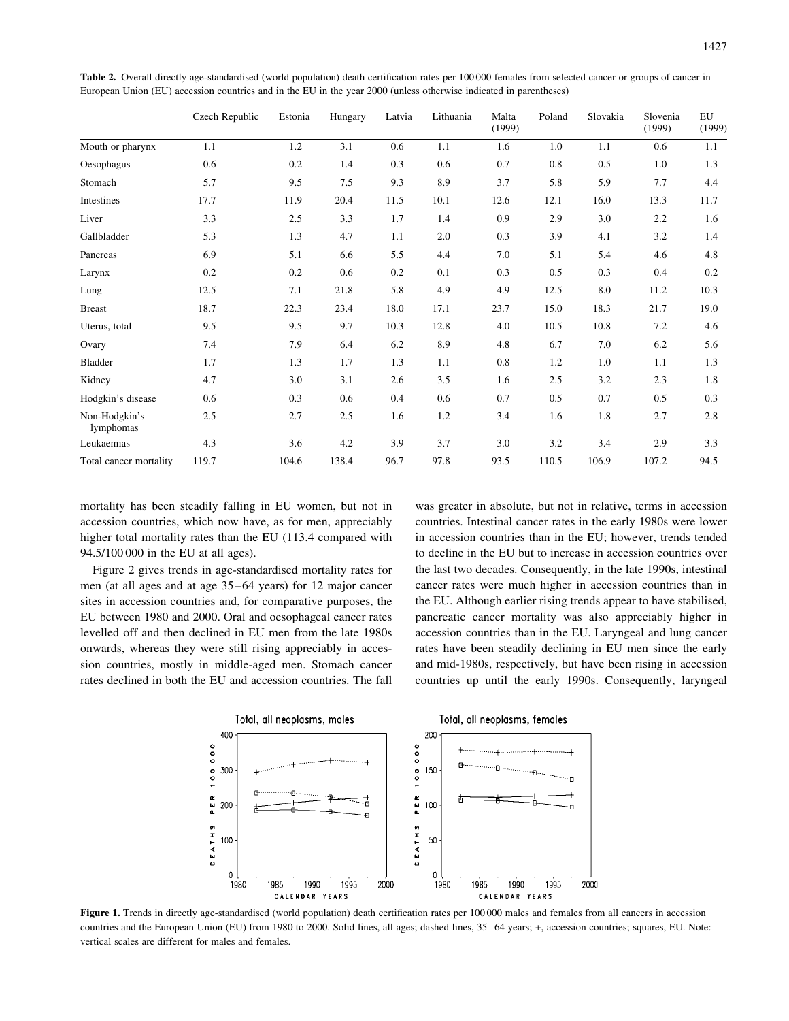|                            | Czech Republic | Estonia | Hungary | Latvia | Lithuania | Malta<br>(1999) | Poland | Slovakia | Slovenia<br>(1999) | EU<br>(1999) |
|----------------------------|----------------|---------|---------|--------|-----------|-----------------|--------|----------|--------------------|--------------|
| Mouth or pharynx           | 1.1            | 1.2     | 3.1     | 0.6    | 1.1       | 1.6             | 1.0    | 1.1      | 0.6                | 1.1          |
| Oesophagus                 | 0.6            | 0.2     | 1.4     | 0.3    | 0.6       | 0.7             | 0.8    | 0.5      | 1.0                | 1.3          |
| Stomach                    | 5.7            | 9.5     | 7.5     | 9.3    | 8.9       | 3.7             | 5.8    | 5.9      | 7.7                | 4.4          |
| Intestines                 | 17.7           | 11.9    | 20.4    | 11.5   | 10.1      | 12.6            | 12.1   | 16.0     | 13.3               | 11.7         |
| Liver                      | 3.3            | 2.5     | 3.3     | 1.7    | 1.4       | 0.9             | 2.9    | 3.0      | 2.2                | 1.6          |
| Gallbladder                | 5.3            | 1.3     | 4.7     | 1.1    | 2.0       | 0.3             | 3.9    | 4.1      | 3.2                | 1.4          |
| Pancreas                   | 6.9            | 5.1     | 6.6     | 5.5    | 4.4       | 7.0             | 5.1    | 5.4      | 4.6                | 4.8          |
| Larynx                     | 0.2            | 0.2     | 0.6     | 0.2    | 0.1       | 0.3             | 0.5    | 0.3      | 0.4                | 0.2          |
| Lung                       | 12.5           | 7.1     | 21.8    | 5.8    | 4.9       | 4.9             | 12.5   | 8.0      | 11.2               | 10.3         |
| <b>Breast</b>              | 18.7           | 22.3    | 23.4    | 18.0   | 17.1      | 23.7            | 15.0   | 18.3     | 21.7               | 19.0         |
| Uterus, total              | 9.5            | 9.5     | 9.7     | 10.3   | 12.8      | 4.0             | 10.5   | 10.8     | 7.2                | 4.6          |
| Ovary                      | 7.4            | 7.9     | 6.4     | 6.2    | 8.9       | 4.8             | 6.7    | 7.0      | 6.2                | 5.6          |
| <b>Bladder</b>             | 1.7            | 1.3     | 1.7     | 1.3    | 1.1       | 0.8             | 1.2    | 1.0      | 1.1                | 1.3          |
| Kidney                     | 4.7            | 3.0     | 3.1     | 2.6    | 3.5       | 1.6             | 2.5    | 3.2      | 2.3                | 1.8          |
| Hodgkin's disease          | 0.6            | 0.3     | 0.6     | 0.4    | 0.6       | 0.7             | 0.5    | 0.7      | 0.5                | 0.3          |
| Non-Hodgkin's<br>lymphomas | 2.5            | 2.7     | 2.5     | 1.6    | 1.2       | 3.4             | 1.6    | 1.8      | 2.7                | 2.8          |
| Leukaemias                 | 4.3            | 3.6     | 4.2     | 3.9    | 3.7       | 3.0             | 3.2    | 3.4      | 2.9                | 3.3          |
| Total cancer mortality     | 119.7          | 104.6   | 138.4   | 96.7   | 97.8      | 93.5            | 110.5  | 106.9    | 107.2              | 94.5         |

Table 2. Overall directly age-standardised (world population) death certification rates per 100 000 females from selected cancer or groups of cancer in European Union (EU) accession countries and in the EU in the year 2000 (unless otherwise indicated in parentheses)

mortality has been steadily falling in EU women, but not in accession countries, which now have, as for men, appreciably higher total mortality rates than the EU (113.4 compared with 94.5/100 000 in the EU at all ages).

Figure 2 gives trends in age-standardised mortality rates for men (at all ages and at age 35–64 years) for 12 major cancer sites in accession countries and, for comparative purposes, the EU between 1980 and 2000. Oral and oesophageal cancer rates levelled off and then declined in EU men from the late 1980s onwards, whereas they were still rising appreciably in accession countries, mostly in middle-aged men. Stomach cancer rates declined in both the EU and accession countries. The fall

was greater in absolute, but not in relative, terms in accession countries. Intestinal cancer rates in the early 1980s were lower in accession countries than in the EU; however, trends tended to decline in the EU but to increase in accession countries over the last two decades. Consequently, in the late 1990s, intestinal cancer rates were much higher in accession countries than in the EU. Although earlier rising trends appear to have stabilised, pancreatic cancer mortality was also appreciably higher in accession countries than in the EU. Laryngeal and lung cancer rates have been steadily declining in EU men since the early and mid-1980s, respectively, but have been rising in accession countries up until the early 1990s. Consequently, laryngeal



Figure 1. Trends in directly age-standardised (world population) death certification rates per 100 000 males and females from all cancers in accession countries and the European Union (EU) from 1980 to 2000. Solid lines, all ages; dashed lines, 35–64 years; +, accession countries; squares, EU. Note: vertical scales are different for males and females.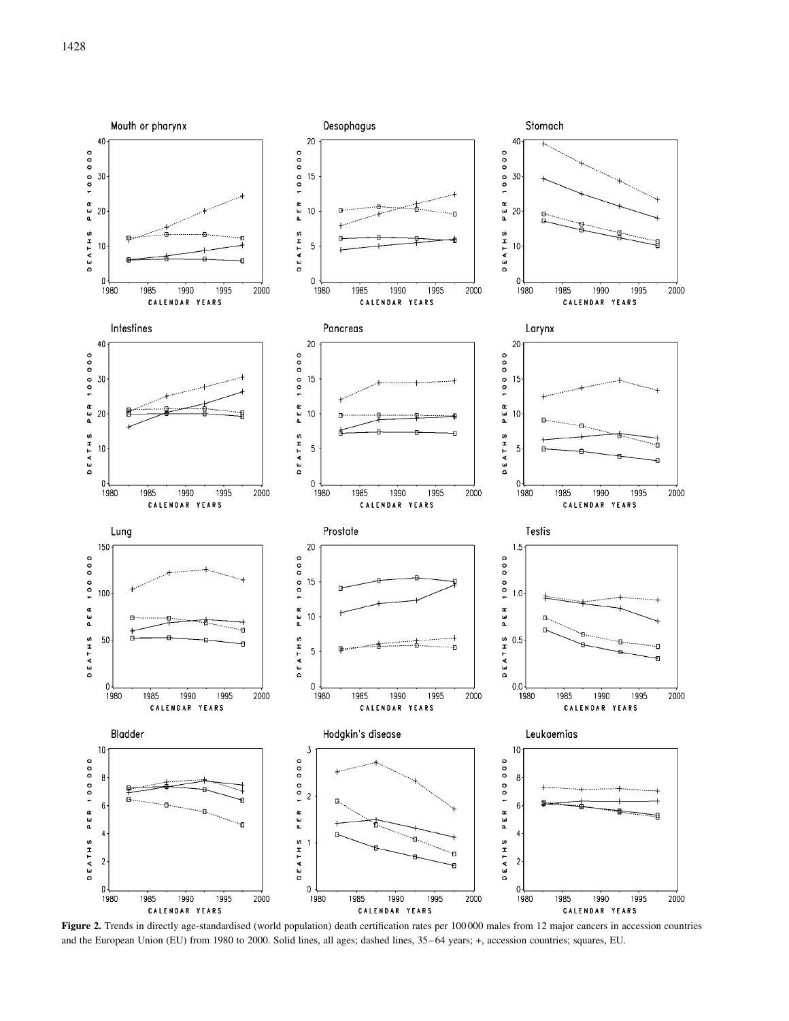

Figure 2. Trends in directly age-standardised (world population) death certification rates per 100 000 males from 12 major cancers in accession countries and the European Union (EU) from 1980 to 2000. Solid lines, all ages; dashed lines, 35–64 years; +, accession countries; squares, EU.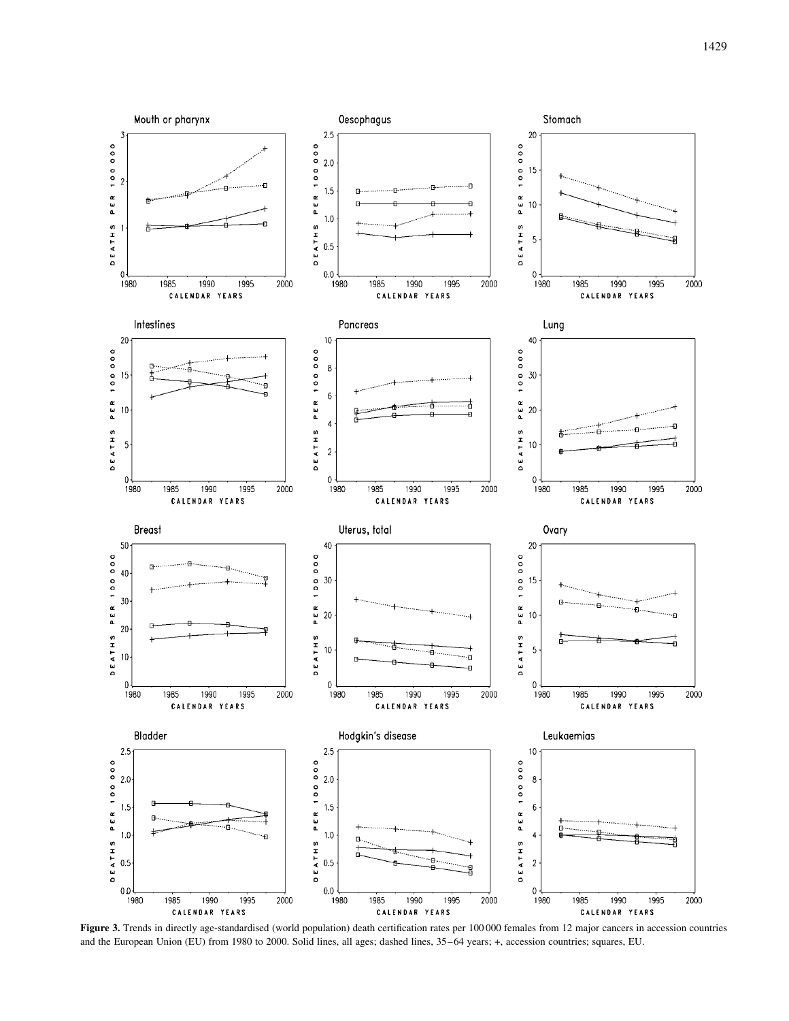

Figure 3. Trends in directly age-standardised (world population) death certification rates per 100 000 females from 12 major cancers in accession countries and the European Union (EU) from 1980 to 2000. Solid lines, all ages; dashed lines, 35–64 years; +, accession countries; squares, EU.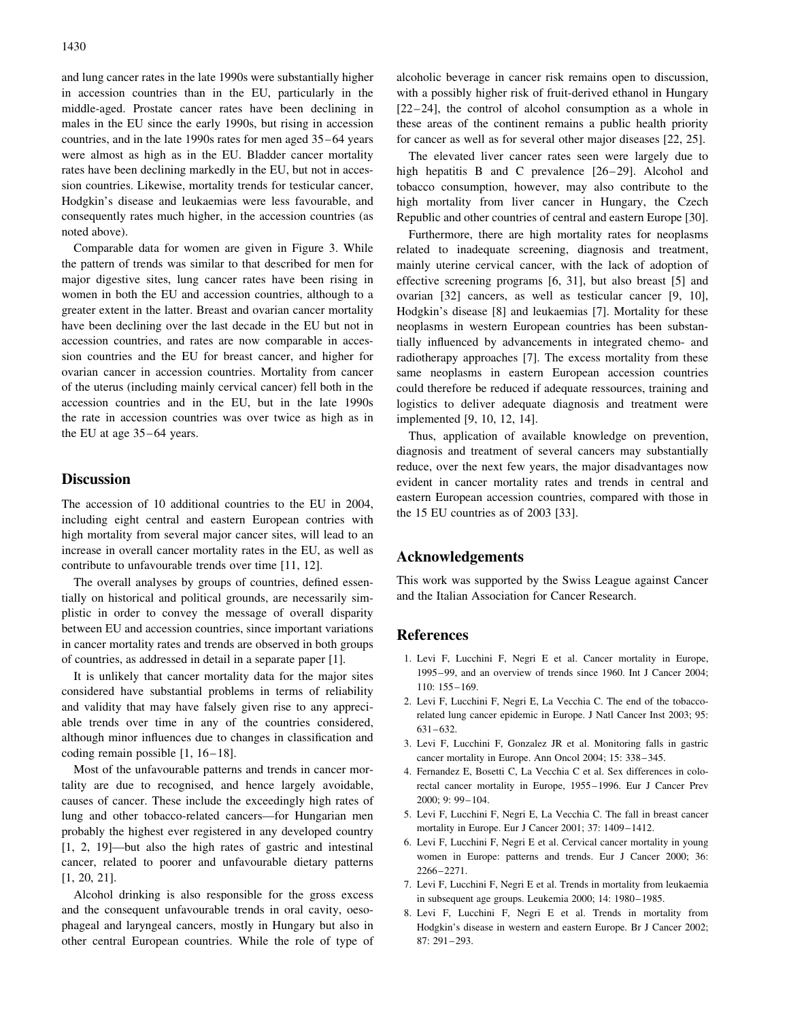and lung cancer rates in the late 1990s were substantially higher in accession countries than in the EU, particularly in the middle-aged. Prostate cancer rates have been declining in males in the EU since the early 1990s, but rising in accession countries, and in the late 1990s rates for men aged 35–64 years were almost as high as in the EU. Bladder cancer mortality rates have been declining markedly in the EU, but not in accession countries. Likewise, mortality trends for testicular cancer, Hodgkin's disease and leukaemias were less favourable, and consequently rates much higher, in the accession countries (as noted above).

Comparable data for women are given in Figure 3. While the pattern of trends was similar to that described for men for major digestive sites, lung cancer rates have been rising in women in both the EU and accession countries, although to a greater extent in the latter. Breast and ovarian cancer mortality have been declining over the last decade in the EU but not in accession countries, and rates are now comparable in accession countries and the EU for breast cancer, and higher for ovarian cancer in accession countries. Mortality from cancer of the uterus (including mainly cervical cancer) fell both in the accession countries and in the EU, but in the late 1990s the rate in accession countries was over twice as high as in the EU at age 35–64 years.

### **Discussion**

The accession of 10 additional countries to the EU in 2004, including eight central and eastern European contries with high mortality from several major cancer sites, will lead to an increase in overall cancer mortality rates in the EU, as well as contribute to unfavourable trends over time [11, 12].

The overall analyses by groups of countries, defined essentially on historical and political grounds, are necessarily simplistic in order to convey the message of overall disparity between EU and accession countries, since important variations in cancer mortality rates and trends are observed in both groups of countries, as addressed in detail in a separate paper [1].

It is unlikely that cancer mortality data for the major sites considered have substantial problems in terms of reliability and validity that may have falsely given rise to any appreciable trends over time in any of the countries considered, although minor influences due to changes in classification and coding remain possible [1, 16–18].

Most of the unfavourable patterns and trends in cancer mortality are due to recognised, and hence largely avoidable, causes of cancer. These include the exceedingly high rates of lung and other tobacco-related cancers—for Hungarian men probably the highest ever registered in any developed country [1, 2, 19]—but also the high rates of gastric and intestinal cancer, related to poorer and unfavourable dietary patterns [1, 20, 21].

Alcohol drinking is also responsible for the gross excess and the consequent unfavourable trends in oral cavity, oesophageal and laryngeal cancers, mostly in Hungary but also in other central European countries. While the role of type of alcoholic beverage in cancer risk remains open to discussion, with a possibly higher risk of fruit-derived ethanol in Hungary [22–24], the control of alcohol consumption as a whole in these areas of the continent remains a public health priority for cancer as well as for several other major diseases [22, 25].

The elevated liver cancer rates seen were largely due to high hepatitis B and C prevalence [26–29]. Alcohol and tobacco consumption, however, may also contribute to the high mortality from liver cancer in Hungary, the Czech Republic and other countries of central and eastern Europe [30].

Furthermore, there are high mortality rates for neoplasms related to inadequate screening, diagnosis and treatment, mainly uterine cervical cancer, with the lack of adoption of effective screening programs [6, 31], but also breast [5] and ovarian [32] cancers, as well as testicular cancer [9, 10], Hodgkin's disease [8] and leukaemias [7]. Mortality for these neoplasms in western European countries has been substantially influenced by advancements in integrated chemo- and radiotherapy approaches [7]. The excess mortality from these same neoplasms in eastern European accession countries could therefore be reduced if adequate ressources, training and logistics to deliver adequate diagnosis and treatment were implemented [9, 10, 12, 14].

Thus, application of available knowledge on prevention, diagnosis and treatment of several cancers may substantially reduce, over the next few years, the major disadvantages now evident in cancer mortality rates and trends in central and eastern European accession countries, compared with those in the 15 EU countries as of 2003 [33].

## Acknowledgements

This work was supported by the Swiss League against Cancer and the Italian Association for Cancer Research.

#### References

- 1. Levi F, Lucchini F, Negri E et al. Cancer mortality in Europe, 1995–99, and an overview of trends since 1960. Int J Cancer 2004; 110: 155–169.
- 2. Levi F, Lucchini F, Negri E, La Vecchia C. The end of the tobaccorelated lung cancer epidemic in Europe. J Natl Cancer Inst 2003; 95: 631–632.
- 3. Levi F, Lucchini F, Gonzalez JR et al. Monitoring falls in gastric cancer mortality in Europe. Ann Oncol 2004; 15: 338–345.
- 4. Fernandez E, Bosetti C, La Vecchia C et al. Sex differences in colorectal cancer mortality in Europe, 1955–1996. Eur J Cancer Prev 2000; 9: 99–104.
- 5. Levi F, Lucchini F, Negri E, La Vecchia C. The fall in breast cancer mortality in Europe. Eur J Cancer 2001; 37: 1409–1412.
- 6. Levi F, Lucchini F, Negri E et al. Cervical cancer mortality in young women in Europe: patterns and trends. Eur J Cancer 2000; 36: 2266–2271.
- 7. Levi F, Lucchini F, Negri E et al. Trends in mortality from leukaemia in subsequent age groups. Leukemia 2000; 14: 1980–1985.
- 8. Levi F, Lucchini F, Negri E et al. Trends in mortality from Hodgkin's disease in western and eastern Europe. Br J Cancer 2002; 87: 291–293.